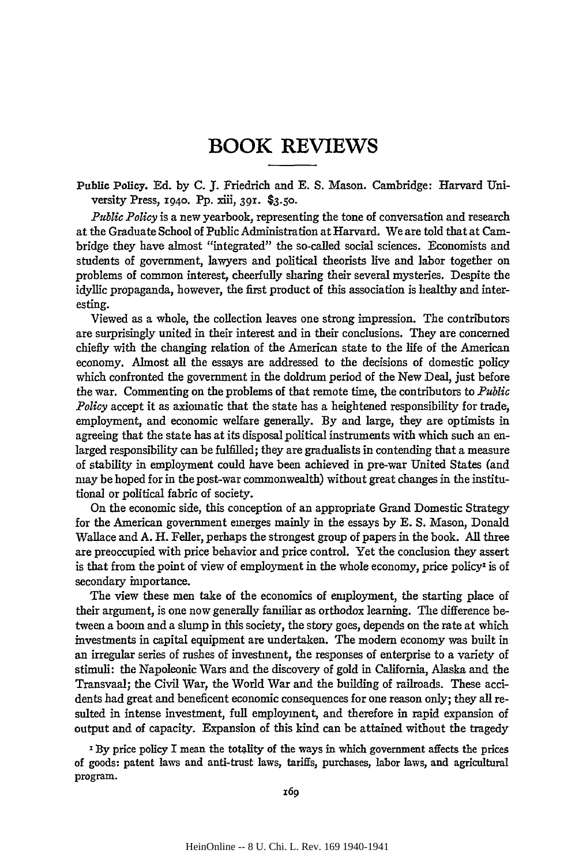## **BOOK REVIEWS**

Public Policy. **Ed. by C. J.** Friedrich and **E. S.** Mason. Cambridge: Harvard University Press, **1940.** Pp. xiii, **391. \$3.50.**

*Public Policy* is a new yearbook, representing the tone of conversation and research at the Graduate School of Public Administration at Harvard. We are told that at Cambridge they have almost "integrated" the so-called social sciences. Economists and students of government, lawyers and political theorists live and labor together on problems of common interest, cheerfully sharing their several mysteries. Despite the idyllic propaganda, however, the first product of this association is healthy and interesting.

Viewed as a whole, the collection leaves one strong impression. The contributors are surprisingly united in their interest and in their conclusions. They are concerned chiefly with the changing relation of the American state to the life of the American economy. Almost all the essays are addressed to the decisions of domestic policy which confronted the government in the doldrum period of the New Deal, just before the war. Commenting on the problems of that remote time, the contributors to *Public Policy* accept it as axiomatic that the state has a heightened responsibility for trade, employment, and economic welfare generally. By and large, they are optimists in agreeing that the state has at its disposal political instruments with which such an enlarged responsibility can be fulfilled; they are gradualists in contending that a measure of stability in employment could have been achieved in pre-war United States (and may be hoped for in the post-war commonwealth) without great changes in the institutional or political fabric of society.

On the economic side, this conception of an appropriate Grand Domestic Strategy for the American government emerges mainly in the essays by **E.** S. Mason, Donald Wallace and A. H. Feller, perhaps the strongest group of papers in the book. **All** three are preoccupied with price behavior and price control. Yet the conclusion they assert is that from the point of view of employment in the whole economy, price policy<sup> $i$ </sup> is of secondary importance.

The view these men take of the economics of employment, the starting place of their argument, is one now generally familiar as orthodox learning. The difference between a boom and a slump in this society, the story goes, depends on the rate at which investments in capital equipment are undertaken. The modem economy was built in an irregular series of rushes of investment, the responses of enterprise to a variety of stimuli: the Napoleonic Wars and the discovery of gold in California, Alaska and the Transvaal; the Civil War, the World War and the building of railroads. These accidents had great and beneficent economic consequences for one reason only; they all resulted in intense investment, full employment, and therefore in rapid expansion of output and of capacity. Expansion of this kind can be attained without the tragedy

**I** By price policy I mean the totality of the ways in which government affects the prices of goods: patent laws and anti-trust laws, tariffs, purchases, labor laws, and agricultural program.

169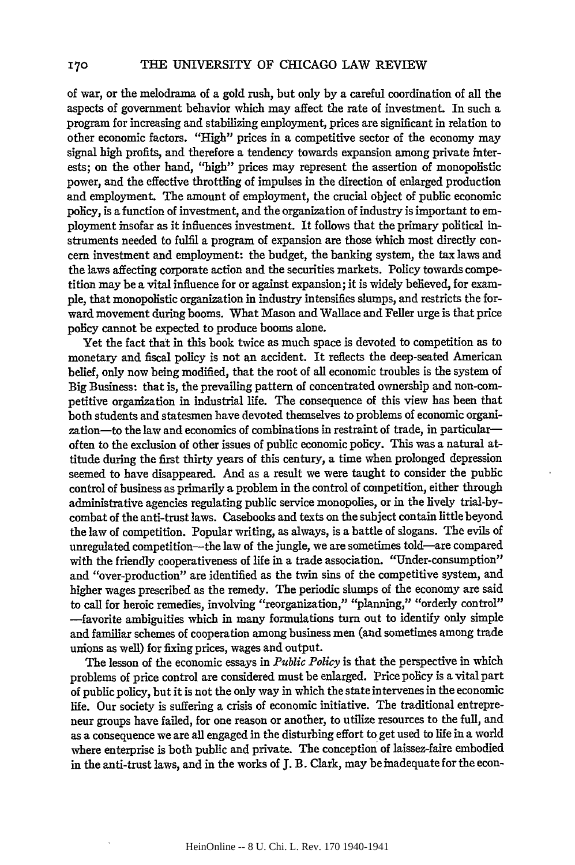of war, or the melodrama of a gold rush, but only **by** a careful coordination of all the aspects of government behavior which may affect the rate of investment. In such a program for increasing and stabilizing employment, prices are significant in relation to other economic factors. "High" prices in a competitive sector of the economy may signal high profits, and therefore a tendency towards expansion among private interests; on the other hand, "high" prices may represent the assertion of monopolistic power, and the effective throttling of impulses in the direction of enlarged production and employment. The amount of employment, the crucial object of public economic policy, is a function of investment, and the organization of industry is important to employment insofar as it influences investment. It follows that the primary political instruments needed to fulfil a program of expansion are those ivhich most directly concern investment and employment: the budget, the banking system, the tax laws and the laws affecting corporate action and the securities markets. Policy towards competition may be a vital influence for or against expansion; it is widely believed, for example, that monopolistic organization in industry intensifies slumps, and restricts the forward movement during booms. What Mason and Wallace and Feller urge is that price policy cannot be expected to produce booms alone.

Yet the fact that in this book twice as much space is devoted to competition as to monetary and fiscal policy is not an accident. It reflects the deep-seated American belief, only now being modified, that the root of all economic troubles is the system of Big Business: that is, the prevailing pattern of concentrated ownership and non-competitive organization in industrial life. The consequence of this view has been that both students and statesmen have devoted themselves to problems of economic organization-to the law and economics of combinations in restraint of trade, in particularoften to the exclusion of other issues of public economic policy. This was a natural attitude during the first thirty years of this century, a time when prolonged depression seemed to have disappeared. And as a result we were taught to consider the public control of business as primarily a problem in the control of competition, either through administrative agencies regulating public service monopolies, or in the lively trial-bycombat of the anti-trust laws. Casebooks and texts on the subject contain little beyond the law of competition. Popular writing, as always, is a battle of slogans. The evils of unregulated competition-the law of the jungle, we are sometimes told-are compared with the friendly cooperativeness of life in a trade association. "Under-consumption" and "over-production" are identified as the twin sins of the competitive system, and higher wages prescribed as the remedy. The periodic slumps of the economy are said to call for heroic remedies, involving "reorganization," "planning," "orderly control" -favorite ambiguities which in many formulations turn out to identify only simple and familiar schemes of cooperation among business men (and sometimes among trade unions as well) for fixing prices, wages and output.

The lesson of the economic essays in *Public Policy* is that the perspective in which problems of price control are considered must be enlarged. Price policy is a vital part of public policy, but it is not the only way in which the state intervenes in the economic life. Our society is suffering a crisis of economic initiative. The traditional entrepreneur groups have failed, for one reason or another, to utilize resources to the full, and as a consequence we are all engaged in the disturbing effort to get used to life in a world where enterprise is both public and private. The conception of laissez-faire embodied in the anti-trust laws, and in the works of J. B. Clark, may be inadequate for the econ-

170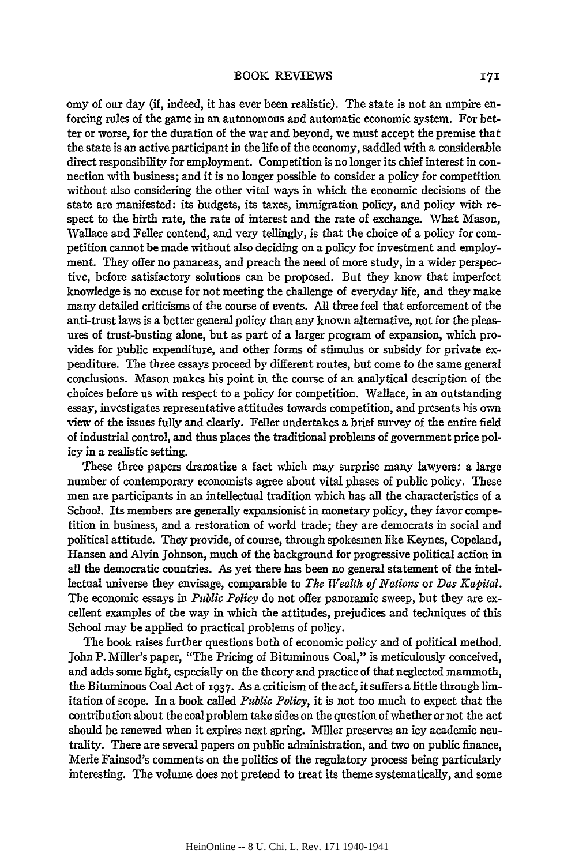## BOOK REVIEWS

omy of our day (if, indeed, it has ever been realistic). The state is not an umpire enforcing rules of the game in an autonomous and automatic economic system. For better or worse, for the duration of the war and beyond, we must accept the premise that the state is an active participant in the life of the economy, saddled with a considerable direct responsibility for employment. Competition is no longer its chief interest in connection with business; and it is no longer possible to consider a policy for competition without also considering the other vital ways in which the economic decisions of the state are manifested: its budgets, its taxes, immigration policy, and policy with respect to the birth rate, the rate of interest and the rate of exchange. What Mason, Wallace and Feller contend, and very tellingly, is that the choice of a policy for competition cannot be made without also deciding on a policy for investment and employment. They offer no panaceas, and preach the need of more study, in a wider perspective, before satisfactory solutions can be proposed. But they know that imperfect knowledge is no excuse for not meeting the challenge of everyday life, and they make many detailed criticisms of the course of events. **All** three feel that enforcement of the anti-trust laws is a better general policy than any known alternative, not for the pleasures of trust-busting alone, but as part of a larger program of expansion, which provides for public expenditure, and other forms of stimulus or subsidy for private expenditure. The three essays proceed by different routes, but come to the same general conclusions. Mason makes his point in the course of an analytical description of the choices before us with respect to a policy for competition. Wallace, in an outstanding essay, investigates representative attitudes towards competition, and presents his own view of the issues fully and clearly. Feller undertakes a brief survey of the entire field of industrial control, and thus places the traditional problems of government price policy in a realistic setting.

These three papers dramatize a fact which may surprise many lawyers: a large number of contemporary economists agree about vital phases of public policy. These men are participants in an intellectual tradition which has all the characteristics of a School. Its members are generally expansionist in monetary policy, they favor competition in business, and a restoration of world trade; they are democrats in social and political attitude. They provide, of course, through spokesmen like Keynes, Copeland, Hansen and Alvin Johnson, much of the background for progressive political action in all the democratic countries. As yet there has been no general statement of the intellectual universe they envisage, comparable to *The Wealth of Nations* or *Das Kapital.* The economic essays in *Public Policy* do not offer panoramic sweep, but they are excellent examples of the way in which the attitudes, prejudices and techniques of this School may be applied to practical problems of policy.

The book raises further questions both of economic policy and of political method. John P. Miller's paper, "The Pricing of Bituminous Coal," is meticulously conceived, and adds some light, especially on the theory and practice of that neglected mammoth, the Bituminous Coal Act of **937.** As a criticism of the act, it suffers a little through limitation of scope. In a book called *Public Policy,* it is not too much to expect that the contribution about the coal problem take sides on the question of whether or not the act should be renewed when it expires next spring. Miller preserves an icy academic neutrality. There are several papers on public administration, and two on public finance, Merle Fainsod's comments on the politics of the regulatory process being particularly interesting. The volume does not pretend to treat its theme systematically, and some